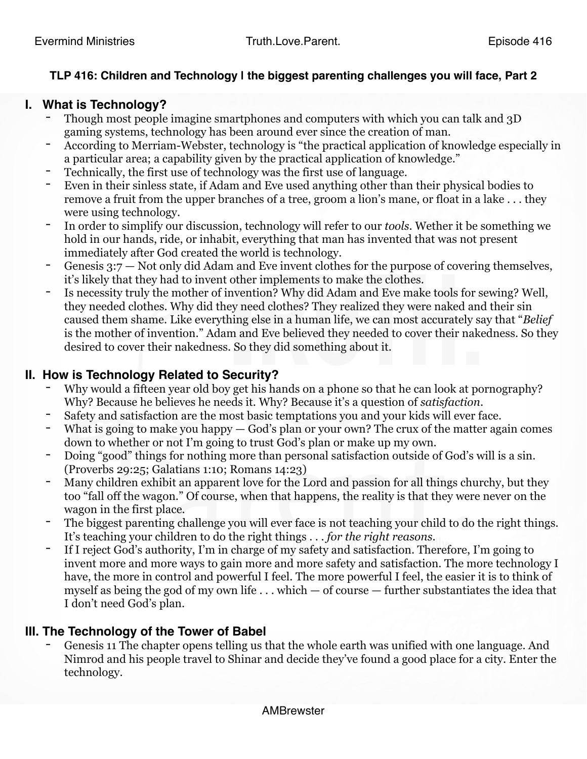## **TLP 416: Children and Technology | the biggest parenting challenges you will face, Part 2**

## **I. What is Technology?**

- Though most people imagine smartphones and computers with which you can talk and 3D gaming systems, technology has been around ever since the creation of man.
- According to Merriam-Webster, technology is "the practical application of knowledge especially in a particular area; a capability given by the practical application of knowledge."
- Technically, the first use of technology was the first use of language.
- Even in their sinless state, if Adam and Eve used anything other than their physical bodies to remove a fruit from the upper branches of a tree, groom a lion's mane, or float in a lake . . . they were using technology.
- In order to simplify our discussion, technology will refer to our *tools*. Wether it be something we hold in our hands, ride, or inhabit, everything that man has invented that was not present immediately after God created the world is technology.
- Genesis  $3:7$  Not only did Adam and Eve invent clothes for the purpose of covering themselves, it's likely that they had to invent other implements to make the clothes.
- Is necessity truly the mother of invention? Why did Adam and Eve make tools for sewing? Well, they needed clothes. Why did they need clothes? They realized they were naked and their sin caused them shame. Like everything else in a human life, we can most accurately say that "*Belief* is the mother of invention." Adam and Eve believed they needed to cover their nakedness. So they desired to cover their nakedness. So they did something about it.

## **II. How is Technology Related to Security?**

- Why would a fifteen year old boy get his hands on a phone so that he can look at pornography? Why? Because he believes he needs it. Why? Because it's a question of *satisfaction*.
- Safety and satisfaction are the most basic temptations you and your kids will ever face.
- What is going to make you happy  $-$  God's plan or your own? The crux of the matter again comes down to whether or not I'm going to trust God's plan or make up my own.
- Doing "good" things for nothing more than personal satisfaction outside of God's will is a sin. (Proverbs 29:25; Galatians 1:10; Romans 14:23)
- Many children exhibit an apparent love for the Lord and passion for all things churchy, but they too "fall off the wagon." Of course, when that happens, the reality is that they were never on the wagon in the first place.
- The biggest parenting challenge you will ever face is not teaching your child to do the right things. It's teaching your children to do the right things . . . *for the right reasons*.
- If I reject God's authority, I'm in charge of my safety and satisfaction. Therefore, I'm going to invent more and more ways to gain more and more safety and satisfaction. The more technology I have, the more in control and powerful I feel. The more powerful I feel, the easier it is to think of myself as being the god of my own life  $\dots$  which — of course — further substantiates the idea that I don't need God's plan.

## **III. The Technology of the Tower of Babel**

Genesis 11 The chapter opens telling us that the whole earth was unified with one language. And Nimrod and his people travel to Shinar and decide they've found a good place for a city. Enter the technology.